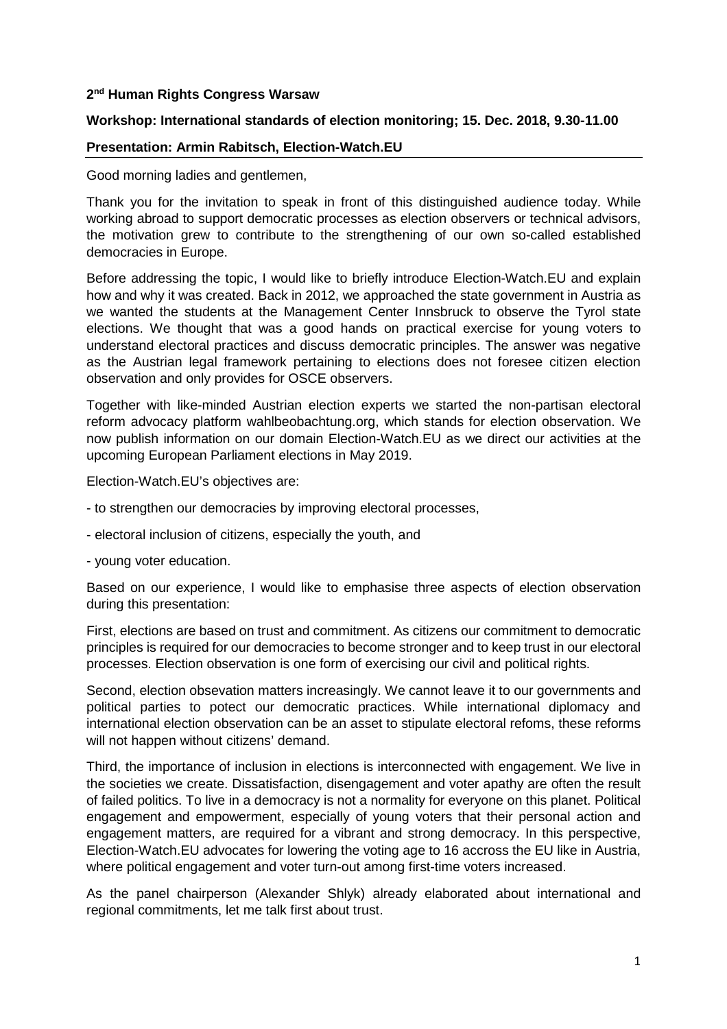## **2 nd Human Rights Congress Warsaw**

## **Workshop: International standards of election monitoring; 15. Dec. 2018, 9.30-11.00**

## **Presentation: Armin Rabitsch, Election-Watch.EU**

Good morning ladies and gentlemen,

Thank you for the invitation to speak in front of this distinguished audience today. While working abroad to support democratic processes as election observers or technical advisors, the motivation grew to contribute to the strengthening of our own so-called established democracies in Europe.

Before addressing the topic, I would like to briefly introduce Election-Watch.EU and explain how and why it was created. Back in 2012, we approached the state government in Austria as we wanted the students at the Management Center Innsbruck to observe the Tyrol state elections. We thought that was a good hands on practical exercise for young voters to understand electoral practices and discuss democratic principles. The answer was negative as the Austrian legal framework pertaining to elections does not foresee citizen election observation and only provides for OSCE observers.

Together with like-minded Austrian election experts we started the non-partisan electoral reform advocacy platform wahlbeobachtung.org, which stands for election observation. We now publish information on our domain Election-Watch.EU as we direct our activities at the upcoming European Parliament elections in May 2019.

Election-Watch.EU's objectives are:

- to strengthen our democracies by improving electoral processes,
- electoral inclusion of citizens, especially the youth, and
- young voter education.

Based on our experience, I would like to emphasise three aspects of election observation during this presentation:

First, elections are based on trust and commitment. As citizens our commitment to democratic principles is required for our democracies to become stronger and to keep trust in our electoral processes. Election observation is one form of exercising our civil and political rights.

Second, election obsevation matters increasingly. We cannot leave it to our governments and political parties to potect our democratic practices. While international diplomacy and international election observation can be an asset to stipulate electoral refoms, these reforms will not happen without citizens' demand.

Third, the importance of inclusion in elections is interconnected with engagement. We live in the societies we create. Dissatisfaction, disengagement and voter apathy are often the result of failed politics. To live in a democracy is not a normality for everyone on this planet. Political engagement and empowerment, especially of young voters that their personal action and engagement matters, are required for a vibrant and strong democracy. In this perspective, Election-Watch.EU advocates for lowering the voting age to 16 accross the EU like in Austria, where political engagement and voter turn-out among first-time voters increased.

As the panel chairperson (Alexander Shlyk) already elaborated about international and regional commitments, let me talk first about trust.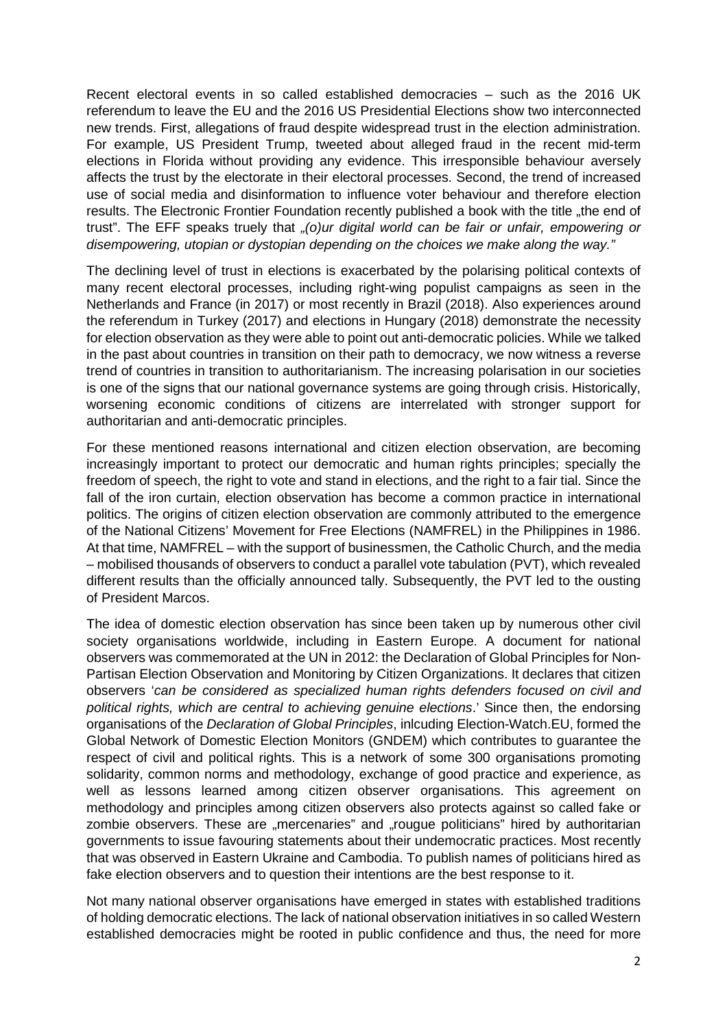Recent electoral events in so called established democracies – such as the 2016 UK referendum to leave the EU and the 2016 US Presidential Elections show two interconnected new trends. First, allegations of fraud despite widespread trust in the election administration. For example, US President Trump, tweeted about alleged fraud in the recent mid-term elections in Florida without providing any evidence. This irresponsible behaviour aversely affects the trust by the electorate in their electoral processes. Second, the trend of increased use of social media and disinformation to influence voter behaviour and therefore election results. The Electronic Frontier Foundation recently published a book with the title "the end of trust". The EFF speaks truely that "(o)ur digital world can be fair or unfair, empowering or disempowering, utopian or dystopian depending on the choices we make along the way."

The declining level of trust in elections is exacerbated by the polarising political contexts of many recent electoral processes, including right-wing populist campaigns as seen in the Netherlands and France (in 2017) or most recently in Brazil (2018). Also experiences around the referendum in Turkey (2017) and elections in Hungary (2018) demonstrate the necessity for election observation as they were able to point out anti-democratic policies. While we talked in the past about countries in transition on their path to democracy, we now witness a reverse trend of countries in transition to authoritarianism. The increasing polarisation in our societies is one of the signs that our national governance systems are going through crisis. Historically, worsening economic conditions of citizens are interrelated with stronger support for authoritarian and anti-democratic principles.

For these mentioned reasons international and citizen election observation, are becoming increasingly important to protect our democratic and human rights principles; specially the freedom of speech, the right to vote and stand in elections, and the right to a fair tial. Since the fall of the iron curtain, election observation has become a common practice in international politics. The origins of citizen election observation are commonly attributed to the emergence of the National Citizens' Movement for Free Elections (NAMFREL) in the Philippines in 1986. At that time, NAMFREL – with the support of businessmen, the Catholic Church, and the media – mobilised thousands of observers to conduct a parallel vote tabulation (PVT), which revealed different results than the officially announced tally. Subsequently, the PVT led to the ousting of President Marcos.

The idea of domestic election observation has since been taken up by numerous other civil society organisations worldwide, including in Eastern Europe. A document for national observers was commemorated at the UN in 2012: the Declaration of Global Principles for Non-Partisan Election Observation and Monitoring by Citizen Organizations. It declares that citizen observers 'can be considered as specialized human rights defenders focused on civil and political rights, which are central to achieving genuine elections.' Since then, the endorsing organisations of the Declaration of Global Principles, inlcuding Election-Watch.EU, formed the Global Network of Domestic Election Monitors (GNDEM) which contributes to guarantee the respect of civil and political rights. This is a network of some 300 organisations promoting solidarity, common norms and methodology, exchange of good practice and experience, as well as lessons learned among citizen observer organisations. This agreement on methodology and principles among citizen observers also protects against so called fake or zombie observers. These are "mercenaries" and "rougue politicians" hired by authoritarian governments to issue favouring statements about their undemocratic practices. Most recently that was observed in Eastern Ukraine and Cambodia. To publish names of politicians hired as fake election observers and to question their intentions are the best response to it.

Not many national observer organisations have emerged in states with established traditions of holding democratic elections. The lack of national observation initiatives in so called Western established democracies might be rooted in public confidence and thus, the need for more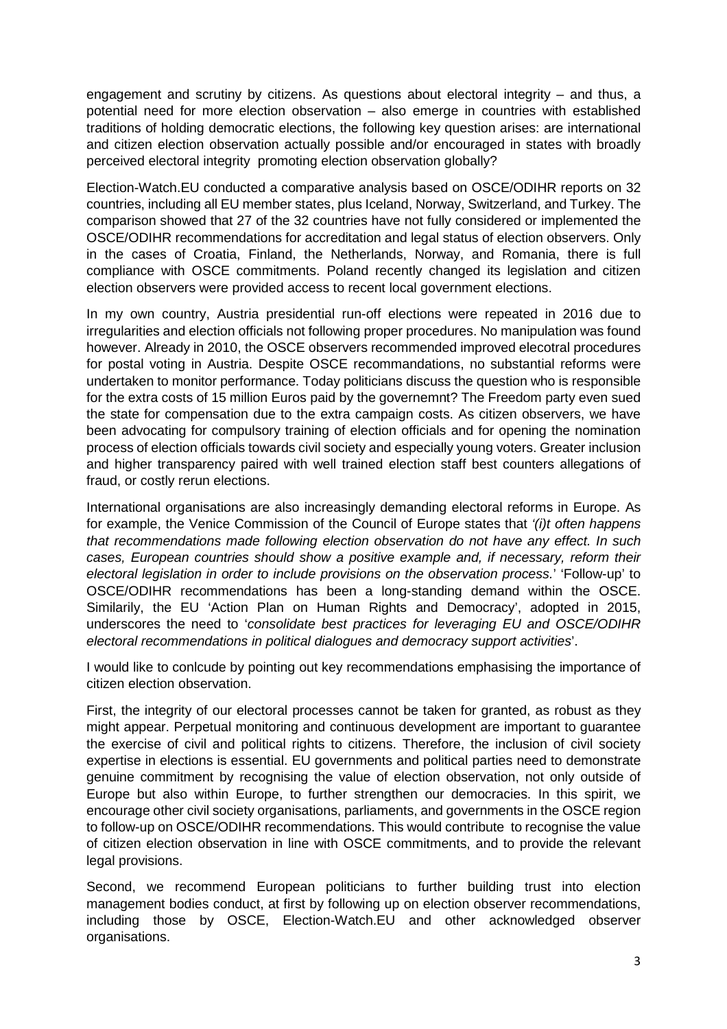engagement and scrutiny by citizens. As questions about electoral integrity – and thus, a potential need for more election observation – also emerge in countries with established traditions of holding democratic elections, the following key question arises: are international and citizen election observation actually possible and/or encouraged in states with broadly perceived electoral integrity promoting election observation globally?

Election-Watch.EU conducted a comparative analysis based on OSCE/ODIHR reports on 32 countries, including all EU member states, plus Iceland, Norway, Switzerland, and Turkey. The comparison showed that 27 of the 32 countries have not fully considered or implemented the OSCE/ODIHR recommendations for accreditation and legal status of election observers. Only in the cases of Croatia, Finland, the Netherlands, Norway, and Romania, there is full compliance with OSCE commitments. Poland recently changed its legislation and citizen election observers were provided access to recent local government elections.

In my own country, Austria presidential run-off elections were repeated in 2016 due to irregularities and election officials not following proper procedures. No manipulation was found however. Already in 2010, the OSCE observers recommended improved elecotral procedures for postal voting in Austria. Despite OSCE recommandations, no substantial reforms were undertaken to monitor performance. Today politicians discuss the question who is responsible for the extra costs of 15 million Euros paid by the governemnt? The Freedom party even sued the state for compensation due to the extra campaign costs. As citizen observers, we have been advocating for compulsory training of election officials and for opening the nomination process of election officials towards civil society and especially young voters. Greater inclusion and higher transparency paired with well trained election staff best counters allegations of fraud, or costly rerun elections.

International organisations are also increasingly demanding electoral reforms in Europe. As for example, the Venice Commission of the Council of Europe states that '(i)t often happens that recommendations made following election observation do not have any effect. In such cases, European countries should show a positive example and, if necessary, reform their electoral legislation in order to include provisions on the observation process.' 'Follow-up' to OSCE/ODIHR recommendations has been a long-standing demand within the OSCE. Similarily, the EU 'Action Plan on Human Rights and Democracy', adopted in 2015, underscores the need to 'consolidate best practices for leveraging EU and OSCE/ODIHR electoral recommendations in political dialogues and democracy support activities'.

I would like to conlcude by pointing out key recommendations emphasising the importance of citizen election observation.

First, the integrity of our electoral processes cannot be taken for granted, as robust as they might appear. Perpetual monitoring and continuous development are important to guarantee the exercise of civil and political rights to citizens. Therefore, the inclusion of civil society expertise in elections is essential. EU governments and political parties need to demonstrate genuine commitment by recognising the value of election observation, not only outside of Europe but also within Europe, to further strengthen our democracies. In this spirit, we encourage other civil society organisations, parliaments, and governments in the OSCE region to follow-up on OSCE/ODIHR recommendations. This would contribute to recognise the value of citizen election observation in line with OSCE commitments, and to provide the relevant legal provisions.

Second, we recommend European politicians to further building trust into election management bodies conduct, at first by following up on election observer recommendations, including those by OSCE, Election-Watch.EU and other acknowledged observer organisations.